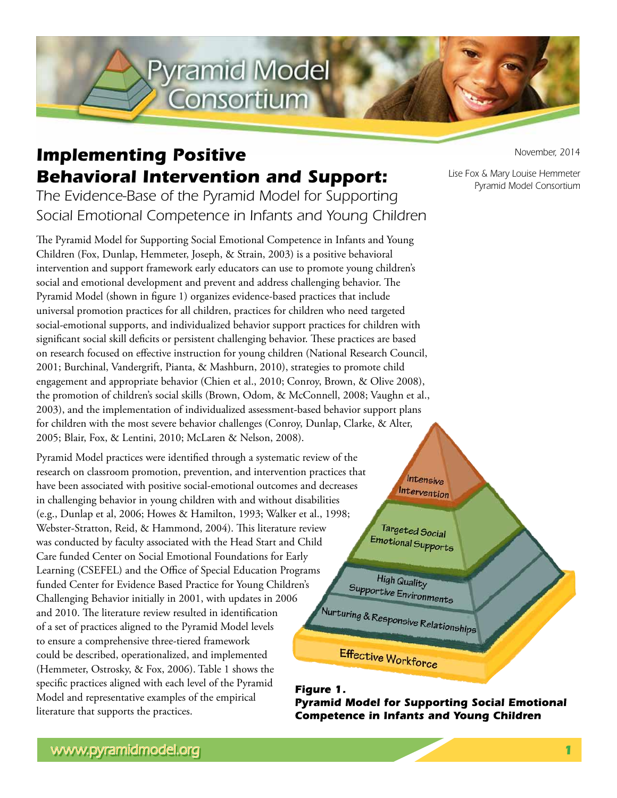

## *Implementing Positive Behavioral Intervention and Support:*

*The Evidence-Base of the Pyramid Model for Supporting Social Emotional Competence in Infants and Young Children* 

The Pyramid Model for Supporting Social Emotional Competence in Infants and Young Children (Fox, Dunlap, Hemmeter, Joseph, & Strain, 2003) is a positive behavioral intervention and support framework early educators can use to promote young children's social and emotional development and prevent and address challenging behavior. The Pyramid Model (shown in figure 1) organizes evidence-based practices that include universal promotion practices for all children, practices for children who need targeted social-emotional supports, and individualized behavior support practices for children with significant social skill deficits or persistent challenging behavior. These practices are based on research focused on effective instruction for young children (National Research Council, 2001; Burchinal, Vandergrift, Pianta, & Mashburn, 2010), strategies to promote child engagement and appropriate behavior (Chien et al., 2010; Conroy, Brown, & Olive 2008), the promotion of children's social skills (Brown, Odom, & McConnell, 2008; Vaughn et al., 2003), and the implementation of individualized assessment-based behavior support plans for children with the most severe behavior challenges (Conroy, Dunlap, Clarke, & Alter, 2005; Blair, Fox, & Lentini, 2010; McLaren & Nelson, 2008).

Pyramid Model practices were identified through a systematic review of the research on classroom promotion, prevention, and intervention practices that have been associated with positive social-emotional outcomes and decreases in challenging behavior in young children with and without disabilities (e.g., Dunlap et al, 2006; Howes & Hamilton, 1993; Walker et al., 1998; Webster-Stratton, Reid, & Hammond, 2004). This literature review was conducted by faculty associated with the Head Start and Child Care funded Center on Social Emotional Foundations for Early Learning (CSEFEL) and the Office of Special Education Programs funded Center for Evidence Based Practice for Young Children's Challenging Behavior initially in 2001, with updates in 2006 and 2010. The literature review resulted in identification of a set of practices aligned to the Pyramid Model levels to ensure a comprehensive three-tiered framework could be described, operationalized, and implemented (Hemmeter, Ostrosky, & Fox, 2006). Table 1 shows the specific practices aligned with each level of the Pyramid Figure 1. Model and representative examples of the empirical literature that supports the practices.

*November, 2014*

*Lise Fox & Mary Louise Hemmeter Pyramid Model Consortium*

Intensive Intervention

Targeted Social Emotional Supports

High Quality Supportive Environments

Nurturing & Responsive Relationships

Effective Workforce

**Pyramid Model for Supporting Social Emotional Competence in Infants and Young Children**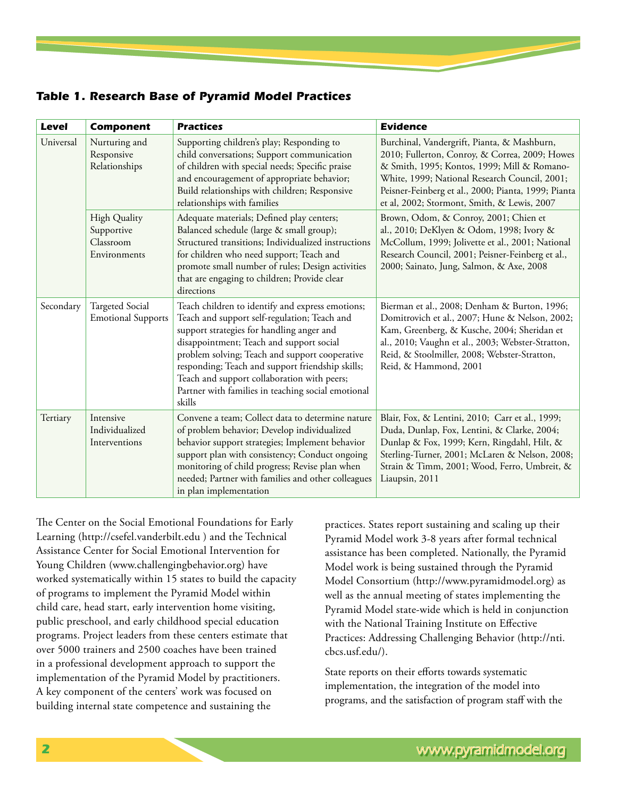*Table 1. Research Base of Pyramid Model Practices*

| <b>Level</b> | <b>Component</b>                                               | <b>Practices</b>                                                                                                                                                                                                                                                                                                                                                                                               | <b>Evidence</b>                                                                                                                                                                                                                                                                                     |
|--------------|----------------------------------------------------------------|----------------------------------------------------------------------------------------------------------------------------------------------------------------------------------------------------------------------------------------------------------------------------------------------------------------------------------------------------------------------------------------------------------------|-----------------------------------------------------------------------------------------------------------------------------------------------------------------------------------------------------------------------------------------------------------------------------------------------------|
| Universal    | Nurturing and<br>Responsive<br>Relationships                   | Supporting children's play; Responding to<br>child conversations; Support communication<br>of children with special needs; Specific praise<br>and encouragement of appropriate behavior;<br>Build relationships with children; Responsive<br>relationships with families                                                                                                                                       | Burchinal, Vandergrift, Pianta, & Mashburn,<br>2010; Fullerton, Conroy, & Correa, 2009; Howes<br>& Smith, 1995; Kontos, 1999; Mill & Romano-<br>White, 1999; National Research Council, 2001;<br>Peisner-Feinberg et al., 2000; Pianta, 1999; Pianta<br>et al, 2002; Stormont, Smith, & Lewis, 2007 |
|              | <b>High Quality</b><br>Supportive<br>Classroom<br>Environments | Adequate materials; Defined play centers;<br>Balanced schedule (large & small group);<br>Structured transitions; Individualized instructions<br>for children who need support; Teach and<br>promote small number of rules; Design activities<br>that are engaging to children; Provide clear<br>directions                                                                                                     | Brown, Odom, & Conroy, 2001; Chien et<br>al., 2010; DeKlyen & Odom, 1998; Ivory &<br>McCollum, 1999; Jolivette et al., 2001; National<br>Research Council, 2001; Peisner-Feinberg et al.,<br>2000; Sainato, Jung, Salmon, & Axe, 2008                                                               |
| Secondary    | <b>Targeted Social</b><br><b>Emotional Supports</b>            | Teach children to identify and express emotions;<br>Teach and support self-regulation; Teach and<br>support strategies for handling anger and<br>disappointment; Teach and support social<br>problem solving; Teach and support cooperative<br>responding; Teach and support friendship skills;<br>Teach and support collaboration with peers;<br>Partner with families in teaching social emotional<br>skills | Bierman et al., 2008; Denham & Burton, 1996;<br>Domitrovich et al., 2007; Hune & Nelson, 2002;<br>Kam, Greenberg, & Kusche, 2004; Sheridan et<br>al., 2010; Vaughn et al., 2003; Webster-Stratton,<br>Reid, & Stoolmiller, 2008; Webster-Stratton,<br>Reid, & Hammond, 2001                         |
| Tertiary     | Intensive<br>Individualized<br>Interventions                   | Convene a team; Collect data to determine nature<br>of problem behavior; Develop individualized<br>behavior support strategies; Implement behavior<br>support plan with consistency; Conduct ongoing<br>monitoring of child progress; Revise plan when<br>needed; Partner with families and other colleagues<br>in plan implementation                                                                         | Blair, Fox, & Lentini, 2010; Carr et al., 1999;<br>Duda, Dunlap, Fox, Lentini, & Clarke, 2004;<br>Dunlap & Fox, 1999; Kern, Ringdahl, Hilt, &<br>Sterling-Turner, 2001; McLaren & Nelson, 2008;<br>Strain & Timm, 2001; Wood, Ferro, Umbreit, &<br>Liaupsin, 2011                                   |

The Center on the Social Emotional Foundations for Early Learning (http://csefel.vanderbilt.edu ) and the Technical Assistance Center for Social Emotional Intervention for Young Children (www.challengingbehavior.org) have worked systematically within 15 states to build the capacity of programs to implement the Pyramid Model within child care, head start, early intervention home visiting, public preschool, and early childhood special education programs. Project leaders from these centers estimate that over 5000 trainers and 2500 coaches have been trained in a professional development approach to support the implementation of the Pyramid Model by practitioners. A key component of the centers' work was focused on building internal state competence and sustaining the

practices. States report sustaining and scaling up their Pyramid Model work 3-8 years after formal technical assistance has been completed. Nationally, the Pyramid Model work is being sustained through the Pyramid Model Consortium (http://www.pyramidmodel.org) as well as the annual meeting of states implementing the Pyramid Model state-wide which is held in conjunction with the National Training Institute on Effective Practices: Addressing Challenging Behavior (http://nti. cbcs.usf.edu/).

State reports on their efforts towards systematic implementation, the integration of the model into programs, and the satisfaction of program staff with the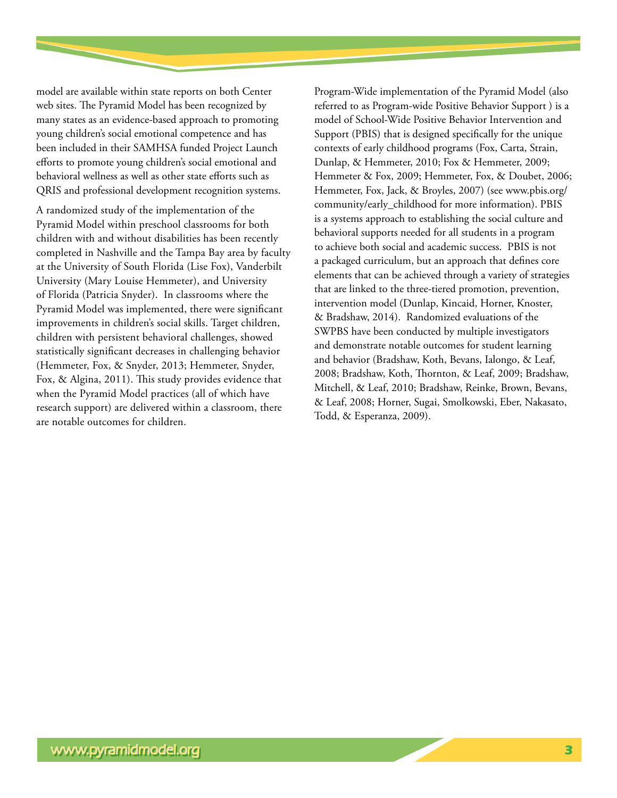model are available within state reports on both Center web sites. The Pyramid Model has been recognized by many states as an evidence-based approach to promoting young children's social emotional competence and has been included in their SAMHSA funded Project Launch efforts to promote young children's social emotional and behavioral wellness as well as other state efforts such as QRIS and professional development recognition systems.

A randomized study of the implementation of the Pyramid Model within preschool classrooms for both children with and without disabilities has been recently completed in Nashville and the Tampa Bay area by faculty at the University of South Florida (Lise Fox), Vanderbilt University (Mary Louise Hemmeter), and University of Florida (Patricia Snyder). In classrooms where the Pyramid Model was implemented, there were significant improvements in children's social skills. Target children, children with persistent behavioral challenges, showed statistically significant decreases in challenging behavior (Hemmeter, Fox, & Snyder, 2013; Hemmeter, Snyder, Fox, & Algina, 2011). This study provides evidence that when the Pyramid Model practices (all of which have research support) are delivered within a classroom, there are notable outcomes for children.

Program-Wide implementation of the Pyramid Model (also referred to as Program-wide Positive Behavior Support ) is a model of School-Wide Positive Behavior Intervention and Support (PBIS) that is designed specifically for the unique contexts of early childhood programs (Fox, Carta, Strain, Dunlap, & Hemmeter, 2010; Fox & Hemmeter, 2009; Hemmeter & Fox, 2009; Hemmeter, Fox, & Doubet, 2006; Hemmeter, Fox, Jack, & Broyles, 2007) (see www.pbis.org/ community/early\_childhood for more information). PBIS is a systems approach to establishing the social culture and behavioral supports needed for all students in a program to achieve both social and academic success. PBIS is not a packaged curriculum, but an approach that defines core elements that can be achieved through a variety of strategies that are linked to the three-tiered promotion, prevention, intervention model (Dunlap, Kincaid, Horner, Knoster, & Bradshaw, 2014). Randomized evaluations of the SWPBS have been conducted by multiple investigators and demonstrate notable outcomes for student learning and behavior (Bradshaw, Koth, Bevans, Ialongo, & Leaf, 2008; Bradshaw, Koth, Thornton, & Leaf, 2009; Bradshaw, Mitchell, & Leaf, 2010; Bradshaw, Reinke, Brown, Bevans, & Leaf, 2008; Horner, Sugai, Smolkowski, Eber, Nakasato, Todd, & Esperanza, 2009).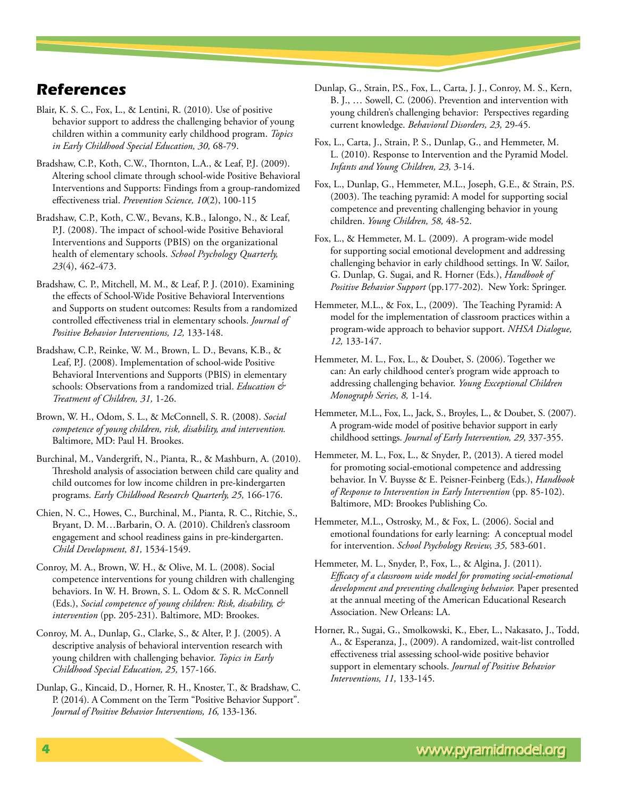## *References*

- Blair, K. S. C., Fox, L., & Lentini, R. (2010). Use of positive behavior support to address the challenging behavior of young children within a community early childhood program. *Topics in Early Childhood Special Education, 30,* 68-79.
- Bradshaw, C.P., Koth, C.W., Thornton, L.A., & Leaf, P.J. (2009). Altering school climate through school-wide Positive Behavioral Interventions and Supports: Findings from a group-randomized effectiveness trial. *Prevention Science, 10*(2), 100-115
- Bradshaw, C.P., Koth, C.W., Bevans, K.B., Ialongo, N., & Leaf, P.J. (2008). The impact of school-wide Positive Behavioral Interventions and Supports (PBIS) on the organizational health of elementary schools. *School Psychology Quarterly, 23*(4), 462-473.
- Bradshaw, C. P., Mitchell, M. M., & Leaf, P. J. (2010). Examining the effects of School-Wide Positive Behavioral Interventions and Supports on student outcomes: Results from a randomized controlled effectiveness trial in elementary schools. *Journal of Positive Behavior Interventions, 12,* 133-148.
- Bradshaw, C.P., Reinke, W. M., Brown, L. D., Bevans, K.B., & Leaf, P.J. (2008). Implementation of school-wide Positive Behavioral Interventions and Supports (PBIS) in elementary schools: Observations from a randomized trial. *Education & Treatment of Children, 31,* 1-26.
- Brown, W. H., Odom, S. L., & McConnell, S. R. (2008). *Social competence of young children, risk, disability, and intervention.*  Baltimore, MD: Paul H. Brookes.
- Burchinal, M., Vandergrift, N., Pianta, R., & Mashburn, A. (2010). Threshold analysis of association between child care quality and child outcomes for low income children in pre-kindergarten programs. *Early Childhood Research Quarterly, 25,* 166-176.
- Chien, N. C., Howes, C., Burchinal, M., Pianta, R. C., Ritchie, S., Bryant, D. M…Barbarin, O. A. (2010). Children's classroom engagement and school readiness gains in pre-kindergarten. *Child Development, 81,* 1534-1549.
- Conroy, M. A., Brown, W. H., & Olive, M. L. (2008). Social competence interventions for young children with challenging behaviors. In W. H. Brown, S. L. Odom & S. R. McConnell (Eds.), *Social competence of young children: Risk, disability, & intervention* (pp. 205‐231). Baltimore, MD: Brookes.
- Conroy, M. A., Dunlap, G., Clarke, S., & Alter, P. J. (2005). A descriptive analysis of behavioral intervention research with young children with challenging behavior. *Topics in Early Childhood Special Education, 25,* 157-166.
- Dunlap, G., Kincaid, D., Horner, R. H., Knoster, T., & Bradshaw, C. P. (2014). A Comment on the Term "Positive Behavior Support". *Journal of Positive Behavior Interventions, 16,* 133-136.
- Dunlap, G., Strain, P.S., Fox, L., Carta, J. J., Conroy, M. S., Kern, B. J., … Sowell, C. (2006). Prevention and intervention with young children's challenging behavior: Perspectives regarding current knowledge. *Behavioral Disorders, 23,* 29-45.
- Fox, L., Carta, J., Strain, P. S., Dunlap, G., and Hemmeter, M. L. (2010). Response to Intervention and the Pyramid Model. *Infants and Young Children, 23,* 3-14.
- Fox, L., Dunlap, G., Hemmeter, M.L., Joseph, G.E., & Strain, P.S. (2003). The teaching pyramid: A model for supporting social competence and preventing challenging behavior in young children. *Young Children, 58,* 48-52.
- Fox, L., & Hemmeter, M. L. (2009). A program-wide model for supporting social emotional development and addressing challenging behavior in early childhood settings. In W. Sailor, G. Dunlap, G. Sugai, and R. Horner (Eds.), *Handbook of Positive Behavior Support* (pp.177-202). New York: Springer.
- Hemmeter, M.L., & Fox, L., (2009). The Teaching Pyramid: A model for the implementation of classroom practices within a program-wide approach to behavior support. *NHSA Dialogue, 12,* 133-147.
- Hemmeter, M. L., Fox, L., & Doubet, S. (2006). Together we can: An early childhood center's program wide approach to addressing challenging behavior. *Young Exceptional Children Monograph Series, 8,* 1-14.
- Hemmeter, M.L., Fox, L., Jack, S., Broyles, L., & Doubet, S. (2007). A program-wide model of positive behavior support in early childhood settings. *Journal of Early Intervention, 29,* 337-355.
- Hemmeter, M. L., Fox, L., & Snyder, P., (2013). A tiered model for promoting social-emotional competence and addressing behavior. In V. Buysse & E. Peisner-Feinberg (Eds.), *Handbook of Response to Intervention in Early Intervention* (pp. 85-102). Baltimore, MD: Brookes Publishing Co.
- Hemmeter, M.L., Ostrosky, M., & Fox, L. (2006). Social and emotional foundations for early learning: A conceptual model for intervention. *School Psychology Review, 35,* 583-601.
- Hemmeter, M. L., Snyder, P., Fox, L., & Algina, J. (2011). *Efficacy of a classroom wide model for promoting social-emotional development and preventing challenging behavior.* Paper presented at the annual meeting of the American Educational Research Association. New Orleans: LA.
- Horner, R., Sugai, G., Smolkowski, K., Eber, L., Nakasato, J., Todd, A., & Esperanza, J., (2009). A randomized, wait-list controlled effectiveness trial assessing school-wide positive behavior support in elementary schools. *Journal of Positive Behavior Interventions, 11,* 133-145.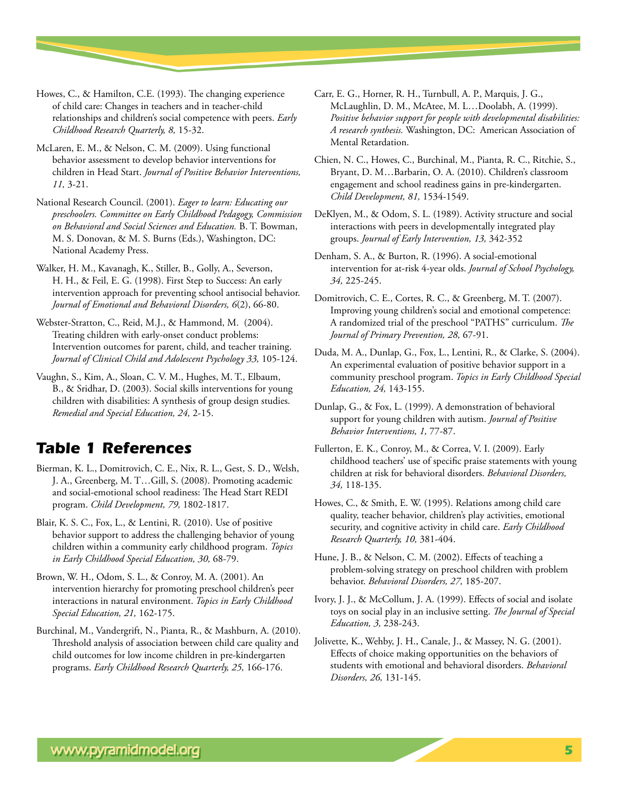Howes, C., & Hamilton, C.E. (1993). The changing experience of child care: Changes in teachers and in teacher-child relationships and children's social competence with peers. *Early Childhood Research Quarterly, 8,* 15-32.

McLaren, E. M., & Nelson, C. M. (2009). Using functional behavior assessment to develop behavior interventions for children in Head Start. *Journal of Positive Behavior Interventions, 11,* 3-21.

National Research Council. (2001). *Eager to learn: Educating our preschoolers. Committee on Early Childhood Pedagogy, Commission on Behavioral and Social Sciences and Education.* B. T. Bowman, M. S. Donovan, & M. S. Burns (Eds.), Washington, DC: National Academy Press.

Walker, H. M., Kavanagh, K., Stiller, B., Golly, A., Severson, H. H., & Feil, E. G. (1998). First Step to Success: An early intervention approach for preventing school antisocial behavior. *Journal of Emotional and Behavioral Disorders, 6*(2), 66-80.

Webster-Stratton, C., Reid, M.J., & Hammond, M. (2004). Treating children with early-onset conduct problems: Intervention outcomes for parent, child, and teacher training. *Journal of Clinical Child and Adolescent Psychology 33,* 105-124.

Vaughn, S., Kim, A., Sloan, C. V. M., Hughes, M. T., Elbaum, B., & Sridhar, D. (2003). Social skills interventions for young children with disabilities: A synthesis of group design studies. *Remedial and Special Education, 24,* 2-15.

## *Table 1 References*

Bierman, K. L., Domitrovich, C. E., Nix, R. L., Gest, S. D., Welsh, J. A., Greenberg, M. T…Gill, S. (2008). Promoting academic and social-emotional school readiness: The Head Start REDI program. *Child Development, 79,* 1802-1817.

Blair, K. S. C., Fox, L., & Lentini, R. (2010). Use of positive behavior support to address the challenging behavior of young children within a community early childhood program. *Topics in Early Childhood Special Education, 30,* 68-79.

Brown, W. H., Odom, S. L., & Conroy, M. A. (2001). An intervention hierarchy for promoting preschool children's peer interactions in natural environment. *Topics in Early Childhood Special Education, 21,* 162-175.

Burchinal, M., Vandergrift, N., Pianta, R., & Mashburn, A. (2010). Threshold analysis of association between child care quality and child outcomes for low income children in pre-kindergarten programs. *Early Childhood Research Quarterly, 25,* 166-176.

Carr, E. G., Horner, R. H., Turnbull, A. P., Marquis, J. G., McLaughlin, D. M., McAtee, M. L…Doolabh, A. (1999). *Positive behavior support for people with developmental disabilities: A research synthesis.* Washington, DC: American Association of Mental Retardation.

Chien, N. C., Howes, C., Burchinal, M., Pianta, R. C., Ritchie, S., Bryant, D. M…Barbarin, O. A. (2010). Children's classroom engagement and school readiness gains in pre-kindergarten. *Child Development, 81,* 1534-1549.

DeKlyen, M., & Odom, S. L. (1989). Activity structure and social interactions with peers in developmentally integrated play groups. *Journal of Early Intervention, 13,* 342-352

Denham, S. A., & Burton, R. (1996). A social-emotional intervention for at-risk 4-year olds. *Journal of School Psychology, 34,* 225-245.

Domitrovich, C. E., Cortes, R. C., & Greenberg, M. T. (2007). Improving young children's social and emotional competence: A randomized trial of the preschool "PATHS" curriculum. *The Journal of Primary Prevention, 28,* 67-91.

Duda, M. A., Dunlap, G., Fox, L., Lentini, R., & Clarke, S. (2004). An experimental evaluation of positive behavior support in a community preschool program. *Topics in Early Childhood Special Education, 24,* 143-155.

Dunlap, G., & Fox, L. (1999). A demonstration of behavioral support for young children with autism. *Journal of Positive Behavior Interventions, 1,* 77-87.

Fullerton, E. K., Conroy, M., & Correa, V. I. (2009). Early childhood teachers' use of specific praise statements with young children at risk for behavioral disorders. *Behavioral Disorders, 34,* 118-135.

Howes, C., & Smith, E. W. (1995). Relations among child care quality, teacher behavior, children's play activities, emotional security, and cognitive activity in child care. *Early Childhood Research Quarterly, 10,* 381-404.

Hune, J. B., & Nelson, C. M. (2002). Effects of teaching a problem-solving strategy on preschool children with problem behavior. *Behavioral Disorders, 27,* 185-207.

Ivory, J. J., & McCollum, J. A. (1999). Effects of social and isolate toys on social play in an inclusive setting. *The Journal of Special Education, 3,* 238-243.

Jolivette, K., Wehby, J. H., Canale, J., & Massey, N. G. (2001). Effects of choice making opportunities on the behaviors of students with emotional and behavioral disorders. *Behavioral Disorders, 26,* 131-145.